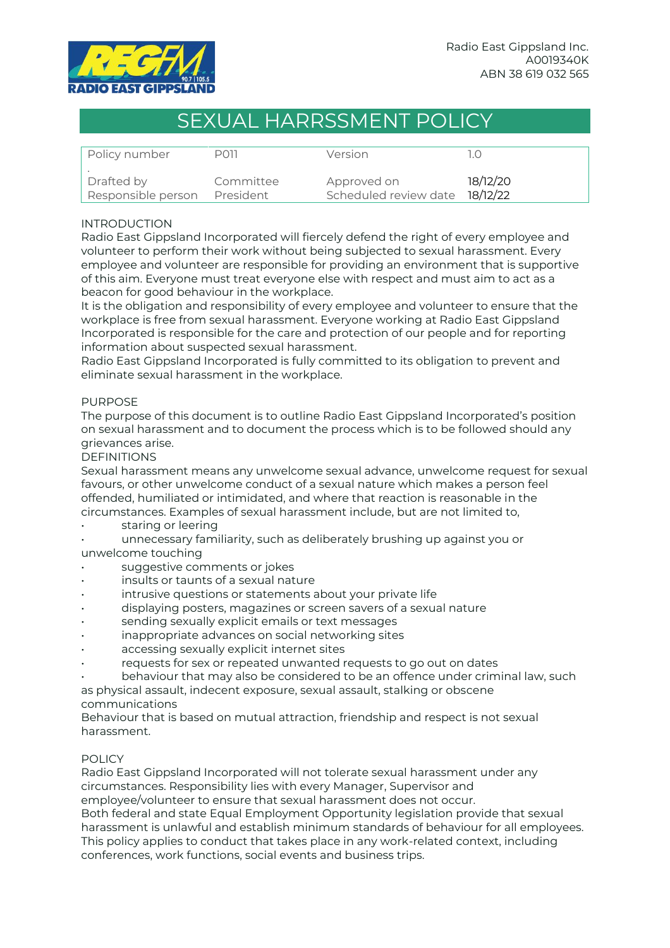

# SEXUAL HARRSSMENT POLICY

| Policy number      | PO11      | Version                        |          |
|--------------------|-----------|--------------------------------|----------|
| Drafted by         | Committee | Approved on                    | 18/12/20 |
| Responsible person | President | Scheduled review date 18/12/22 |          |

## INTRODUCTION

Radio East Gippsland Incorporated will fiercely defend the right of every employee and volunteer to perform their work without being subjected to sexual harassment. Every employee and volunteer are responsible for providing an environment that is supportive of this aim. Everyone must treat everyone else with respect and must aim to act as a beacon for good behaviour in the workplace.

It is the obligation and responsibility of every employee and volunteer to ensure that the workplace is free from sexual harassment. Everyone working at Radio East Gippsland Incorporated is responsible for the care and protection of our people and for reporting information about suspected sexual harassment.

Radio East Gippsland Incorporated is fully committed to its obligation to prevent and eliminate sexual harassment in the workplace.

## PURPOSE

The purpose of this document is to outline Radio East Gippsland Incorporated's position on sexual harassment and to document the process which is to be followed should any grievances arise.

## DEFINITIONS

Sexual harassment means any unwelcome sexual advance, unwelcome request for sexual favours, or other unwelcome conduct of a sexual nature which makes a person feel offended, humiliated or intimidated, and where that reaction is reasonable in the circumstances. Examples of sexual harassment include, but are not limited to,

## staring or leering

• unnecessary familiarity, such as deliberately brushing up against you or unwelcome touching

- suggestive comments or jokes
- insults or taunts of a sexual nature
- intrusive questions or statements about your private life
- displaying posters, magazines or screen savers of a sexual nature
- sending sexually explicit emails or text messages
- inappropriate advances on social networking sites
- accessing sexually explicit internet sites
- requests for sex or repeated unwanted requests to go out on dates

• behaviour that may also be considered to be an offence under criminal law, such

as physical assault, indecent exposure, sexual assault, stalking or obscene communications

Behaviour that is based on mutual attraction, friendship and respect is not sexual harassment.

## POLICY

Radio East Gippsland Incorporated will not tolerate sexual harassment under any circumstances. Responsibility lies with every Manager, Supervisor and

employee/volunteer to ensure that sexual harassment does not occur.

Both federal and state Equal Employment Opportunity legislation provide that sexual harassment is unlawful and establish minimum standards of behaviour for all employees. This policy applies to conduct that takes place in any work-related context, including conferences, work functions, social events and business trips.